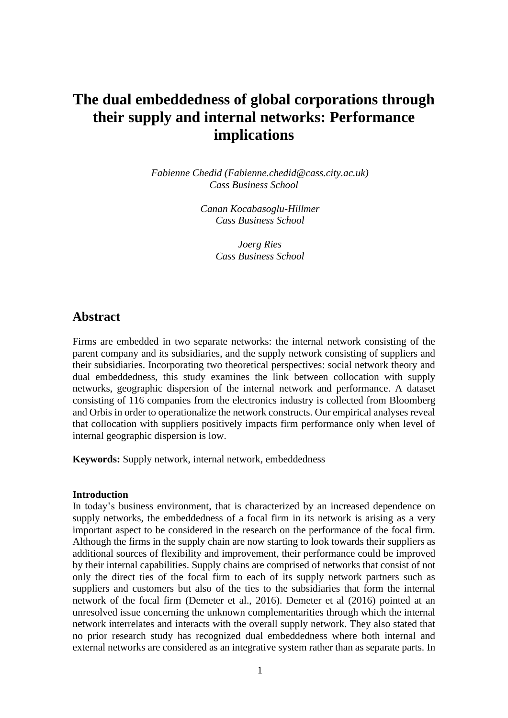# **The dual embeddedness of global corporations through their supply and internal networks: Performance implications**

*Fabienne Chedid (Fabienne.chedid@cass.city.ac.uk) Cass Business School*

> *Canan Kocabasoglu-Hillmer Cass Business School*

> > *Joerg Ries Cass Business School*

## **Abstract**

Firms are embedded in two separate networks: the internal network consisting of the parent company and its subsidiaries, and the supply network consisting of suppliers and their subsidiaries. Incorporating two theoretical perspectives: social network theory and dual embeddedness, this study examines the link between collocation with supply networks, geographic dispersion of the internal network and performance. A dataset consisting of 116 companies from the electronics industry is collected from Bloomberg and Orbis in order to operationalize the network constructs. Our empirical analyses reveal that collocation with suppliers positively impacts firm performance only when level of internal geographic dispersion is low.

**Keywords:** Supply network, internal network, embeddedness

#### **Introduction**

In today's business environment, that is characterized by an increased dependence on supply networks, the embeddedness of a focal firm in its network is arising as a very important aspect to be considered in the research on the performance of the focal firm. Although the firms in the supply chain are now starting to look towards their suppliers as additional sources of flexibility and improvement, their performance could be improved by their internal capabilities. Supply chains are comprised of networks that consist of not only the direct ties of the focal firm to each of its supply network partners such as suppliers and customers but also of the ties to the subsidiaries that form the internal network of the focal firm (Demeter et al., 2016). Demeter et al (2016) pointed at an unresolved issue concerning the unknown complementarities through which the internal network interrelates and interacts with the overall supply network. They also stated that no prior research study has recognized dual embeddedness where both internal and external networks are considered as an integrative system rather than as separate parts. In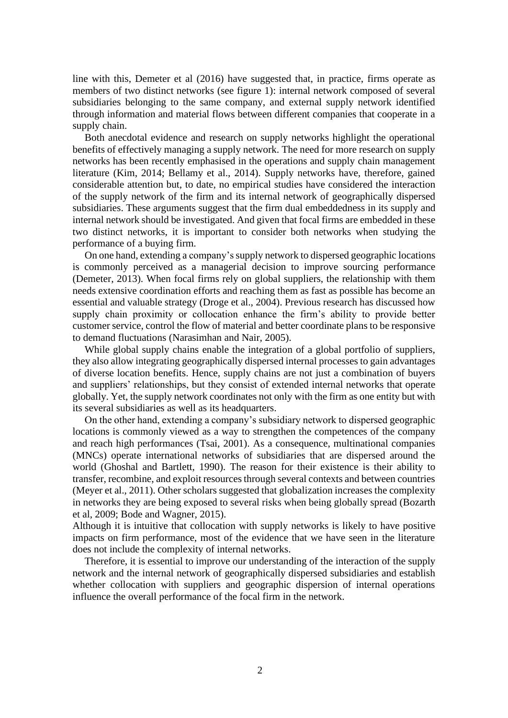line with this, Demeter et al (2016) have suggested that, in practice, firms operate as members of two distinct networks (see figure 1): internal network composed of several subsidiaries belonging to the same company, and external supply network identified through information and material flows between different companies that cooperate in a supply chain.

Both anecdotal evidence and research on supply networks highlight the operational benefits of effectively managing a supply network. The need for more research on supply networks has been recently emphasised in the operations and supply chain management literature (Kim, 2014; Bellamy et al., 2014). Supply networks have, therefore, gained considerable attention but, to date, no empirical studies have considered the interaction of the supply network of the firm and its internal network of geographically dispersed subsidiaries. These arguments suggest that the firm dual embeddedness in its supply and internal network should be investigated. And given that focal firms are embedded in these two distinct networks, it is important to consider both networks when studying the performance of a buying firm.

On one hand, extending a company'ssupply network to dispersed geographic locations is commonly perceived as a managerial decision to improve sourcing performance (Demeter, 2013). When focal firms rely on global suppliers, the relationship with them needs extensive coordination efforts and reaching them as fast as possible has become an essential and valuable strategy (Droge et al., 2004). Previous research has discussed how supply chain proximity or collocation enhance the firm's ability to provide better customer service, control the flow of material and better coordinate plans to be responsive to demand fluctuations (Narasimhan and Nair, 2005).

While global supply chains enable the integration of a global portfolio of suppliers, they also allow integrating geographically dispersed internal processes to gain advantages of diverse location benefits. Hence, supply chains are not just a combination of buyers and suppliers' relationships, but they consist of extended internal networks that operate globally. Yet, the supply network coordinates not only with the firm as one entity but with its several subsidiaries as well as its headquarters.

On the other hand, extending a company's subsidiary network to dispersed geographic locations is commonly viewed as a way to strengthen the competences of the company and reach high performances (Tsai, 2001). As a consequence, multinational companies (MNCs) operate international networks of subsidiaries that are dispersed around the world (Ghoshal and Bartlett, 1990). The reason for their existence is their ability to transfer, recombine, and exploit resources through several contexts and between countries (Meyer et al., 2011). Other scholars suggested that globalization increases the complexity in networks they are being exposed to several risks when being globally spread (Bozarth et al, 2009; Bode and Wagner, 2015).

Although it is intuitive that collocation with supply networks is likely to have positive impacts on firm performance, most of the evidence that we have seen in the literature does not include the complexity of internal networks.

Therefore, it is essential to improve our understanding of the interaction of the supply network and the internal network of geographically dispersed subsidiaries and establish whether collocation with suppliers and geographic dispersion of internal operations influence the overall performance of the focal firm in the network.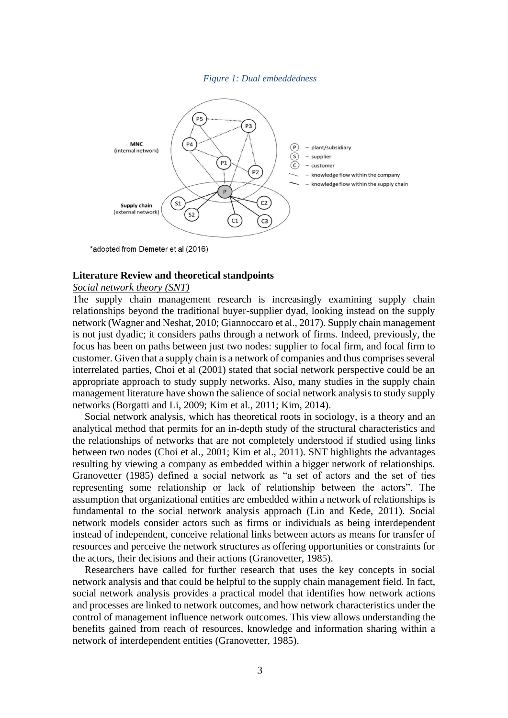*Figure 1: Dual embeddedness*



\*adopted from Demeter et al (2016)

#### **Literature Review and theoretical standpoints**

#### *Social network theory (SNT)*

The supply chain management research is increasingly examining supply chain relationships beyond the traditional buyer-supplier dyad, looking instead on the supply network (Wagner and Neshat, 2010; Giannoccaro et al., 2017). Supply chain management is not just dyadic; it considers paths through a network of firms. Indeed, previously, the focus has been on paths between just two nodes: supplier to focal firm, and focal firm to customer. Given that a supply chain is a network of companies and thus comprises several interrelated parties, Choi et al (2001) stated that social network perspective could be an appropriate approach to study supply networks. Also, many studies in the supply chain management literature have shown the salience of social network analysis to study supply networks (Borgatti and Li, 2009; Kim et al., 2011; Kim, 2014).

Social network analysis, which has theoretical roots in sociology, is a theory and an analytical method that permits for an in-depth study of the structural characteristics and the relationships of networks that are not completely understood if studied using links between two nodes (Choi et al., 2001; Kim et al., 2011). SNT highlights the advantages resulting by viewing a company as embedded within a bigger network of relationships. Granovetter (1985) defined a social network as "a set of actors and the set of ties representing some relationship or lack of relationship between the actors". The assumption that organizational entities are embedded within a network of relationships is fundamental to the social network analysis approach (Lin and Kede, 2011). Social network models consider actors such as firms or individuals as being interdependent instead of independent, conceive relational links between actors as means for transfer of resources and perceive the network structures as offering opportunities or constraints for the actors, their decisions and their actions (Granovetter, 1985).

Researchers have called for further research that uses the key concepts in social network analysis and that could be helpful to the supply chain management field. In fact, social network analysis provides a practical model that identifies how network actions and processes are linked to network outcomes, and how network characteristics under the control of management influence network outcomes. This view allows understanding the benefits gained from reach of resources, knowledge and information sharing within a network of interdependent entities (Granovetter, 1985).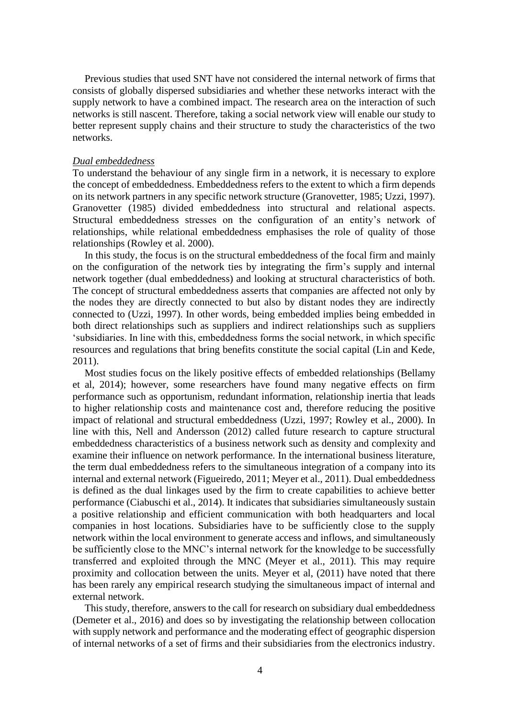Previous studies that used SNT have not considered the internal network of firms that consists of globally dispersed subsidiaries and whether these networks interact with the supply network to have a combined impact. The research area on the interaction of such networks is still nascent. Therefore, taking a social network view will enable our study to better represent supply chains and their structure to study the characteristics of the two networks.

#### *Dual embeddedness*

To understand the behaviour of any single firm in a network, it is necessary to explore the concept of embeddedness. Embeddedness refers to the extent to which a firm depends on its network partners in any specific network structure (Granovetter, 1985; Uzzi, 1997). Granovetter (1985) divided embeddedness into structural and relational aspects. Structural embeddedness stresses on the configuration of an entity's network of relationships, while relational embeddedness emphasises the role of quality of those relationships (Rowley et al. 2000).

In this study, the focus is on the structural embeddedness of the focal firm and mainly on the configuration of the network ties by integrating the firm's supply and internal network together (dual embeddedness) and looking at structural characteristics of both. The concept of structural embeddedness asserts that companies are affected not only by the nodes they are directly connected to but also by distant nodes they are indirectly connected to (Uzzi, 1997). In other words, being embedded implies being embedded in both direct relationships such as suppliers and indirect relationships such as suppliers 'subsidiaries. In line with this, embeddedness forms the social network, in which specific resources and regulations that bring benefits constitute the social capital (Lin and Kede, 2011).

Most studies focus on the likely positive effects of embedded relationships (Bellamy et al, 2014); however, some researchers have found many negative effects on firm performance such as opportunism, redundant information, relationship inertia that leads to higher relationship costs and maintenance cost and, therefore reducing the positive impact of relational and structural embeddedness (Uzzi, 1997; Rowley et al., 2000). In line with this, Nell and Andersson (2012) called future research to capture structural embeddedness characteristics of a business network such as density and complexity and examine their influence on network performance. In the international business literature, the term dual embeddedness refers to the simultaneous integration of a company into its internal and external network (Figueiredo, 2011; Meyer et al., 2011). Dual embeddedness is defined as the dual linkages used by the firm to create capabilities to achieve better performance (Ciabuschi et al., 2014). It indicates that subsidiaries simultaneously sustain a positive relationship and efficient communication with both headquarters and local companies in host locations. Subsidiaries have to be sufficiently close to the supply network within the local environment to generate access and inflows, and simultaneously be sufficiently close to the MNC's internal network for the knowledge to be successfully transferred and exploited through the MNC (Meyer et al., 2011). This may require proximity and collocation between the units. Meyer et al, (2011) have noted that there has been rarely any empirical research studying the simultaneous impact of internal and external network.

This study, therefore, answers to the call for research on subsidiary dual embeddedness (Demeter et al., 2016) and does so by investigating the relationship between collocation with supply network and performance and the moderating effect of geographic dispersion of internal networks of a set of firms and their subsidiaries from the electronics industry.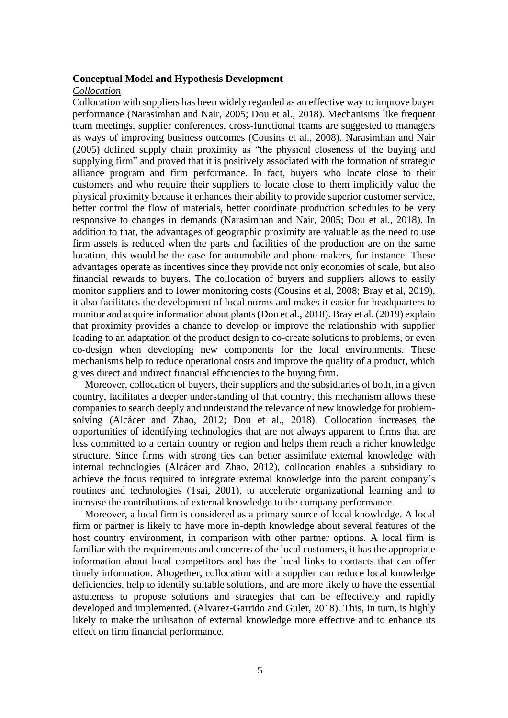#### **Conceptual Model and Hypothesis Development**

#### *Collocation*

Collocation with suppliers has been widely regarded as an effective way to improve buyer performance (Narasimhan and Nair, 2005; Dou et al., 2018). Mechanisms like frequent team meetings, supplier conferences, cross-functional teams are suggested to managers as ways of improving business outcomes (Cousins et al., 2008). Narasimhan and Nair (2005) defined supply chain proximity as "the physical closeness of the buying and supplying firm" and proved that it is positively associated with the formation of strategic alliance program and firm performance. In fact, buyers who locate close to their customers and who require their suppliers to locate close to them implicitly value the physical proximity because it enhances their ability to provide superior customer service, better control the flow of materials, better coordinate production schedules to be very responsive to changes in demands (Narasimhan and Nair, 2005; Dou et al., 2018). In addition to that, the advantages of geographic proximity are valuable as the need to use firm assets is reduced when the parts and facilities of the production are on the same location, this would be the case for automobile and phone makers, for instance. These advantages operate as incentives since they provide not only economies of scale, but also financial rewards to buyers. The collocation of buyers and suppliers allows to easily monitor suppliers and to lower monitoring costs (Cousins et al, 2008; Bray et al, 2019), it also facilitates the development of local norms and makes it easier for headquarters to monitor and acquire information about plants (Dou et al., 2018). Bray et al. (2019) explain that proximity provides a chance to develop or improve the relationship with supplier leading to an adaptation of the product design to co-create solutions to problems, or even co-design when developing new components for the local environments. These mechanisms help to reduce operational costs and improve the quality of a product, which gives direct and indirect financial efficiencies to the buying firm.

Moreover, collocation of buyers, their suppliers and the subsidiaries of both, in a given country, facilitates a deeper understanding of that country, this mechanism allows these companies to search deeply and understand the relevance of new knowledge for problemsolving (Alcácer and Zhao, 2012; Dou et al., 2018). Collocation increases the opportunities of identifying technologies that are not always apparent to firms that are less committed to a certain country or region and helps them reach a richer knowledge structure. Since firms with strong ties can better assimilate external knowledge with internal technologies (Alcácer and Zhao, 2012), collocation enables a subsidiary to achieve the focus required to integrate external knowledge into the parent company's routines and technologies (Tsai, 2001), to accelerate organizational learning and to increase the contributions of external knowledge to the company performance.

Moreover, a local firm is considered as a primary source of local knowledge. A local firm or partner is likely to have more in-depth knowledge about several features of the host country environment, in comparison with other partner options. A local firm is familiar with the requirements and concerns of the local customers, it has the appropriate information about local competitors and has the local links to contacts that can offer timely information. Altogether, collocation with a supplier can reduce local knowledge deficiencies, help to identify suitable solutions, and are more likely to have the essential astuteness to propose solutions and strategies that can be effectively and rapidly developed and implemented. (Alvarez-Garrido and Guler, 2018). This, in turn, is highly likely to make the utilisation of external knowledge more effective and to enhance its effect on firm financial performance.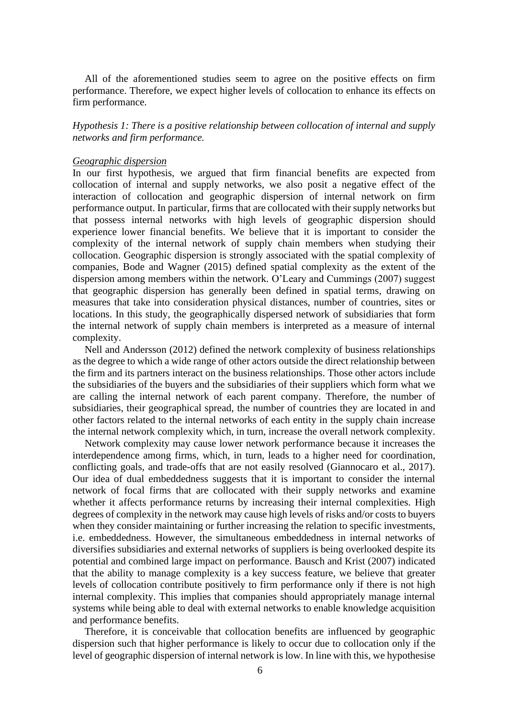All of the aforementioned studies seem to agree on the positive effects on firm performance. Therefore, we expect higher levels of collocation to enhance its effects on firm performance.

*Hypothesis 1: There is a positive relationship between collocation of internal and supply networks and firm performance.*

#### *Geographic dispersion*

In our first hypothesis, we argued that firm financial benefits are expected from collocation of internal and supply networks, we also posit a negative effect of the interaction of collocation and geographic dispersion of internal network on firm performance output. In particular, firms that are collocated with their supply networks but that possess internal networks with high levels of geographic dispersion should experience lower financial benefits. We believe that it is important to consider the complexity of the internal network of supply chain members when studying their collocation. Geographic dispersion is strongly associated with the spatial complexity of companies, Bode and Wagner (2015) defined spatial complexity as the extent of the dispersion among members within the network. O'Leary and Cummings (2007) suggest that geographic dispersion has generally been defined in spatial terms, drawing on measures that take into consideration physical distances, number of countries, sites or locations. In this study, the geographically dispersed network of subsidiaries that form the internal network of supply chain members is interpreted as a measure of internal complexity.

Nell and Andersson (2012) defined the network complexity of business relationships as the degree to which a wide range of other actors outside the direct relationship between the firm and its partners interact on the business relationships. Those other actors include the subsidiaries of the buyers and the subsidiaries of their suppliers which form what we are calling the internal network of each parent company. Therefore, the number of subsidiaries, their geographical spread, the number of countries they are located in and other factors related to the internal networks of each entity in the supply chain increase the internal network complexity which, in turn, increase the overall network complexity.

Network complexity may cause lower network performance because it increases the interdependence among firms, which, in turn, leads to a higher need for coordination, conflicting goals, and trade-offs that are not easily resolved (Giannocaro et al., 2017). Our idea of dual embeddedness suggests that it is important to consider the internal network of focal firms that are collocated with their supply networks and examine whether it affects performance returns by increasing their internal complexities. High degrees of complexity in the network may cause high levels of risks and/or costs to buyers when they consider maintaining or further increasing the relation to specific investments, i.e. embeddedness. However, the simultaneous embeddedness in internal networks of diversifies subsidiaries and external networks of suppliers is being overlooked despite its potential and combined large impact on performance. Bausch and Krist (2007) indicated that the ability to manage complexity is a key success feature, we believe that greater levels of collocation contribute positively to firm performance only if there is not high internal complexity. This implies that companies should appropriately manage internal systems while being able to deal with external networks to enable knowledge acquisition and performance benefits.

Therefore, it is conceivable that collocation benefits are influenced by geographic dispersion such that higher performance is likely to occur due to collocation only if the level of geographic dispersion of internal network is low. In line with this, we hypothesise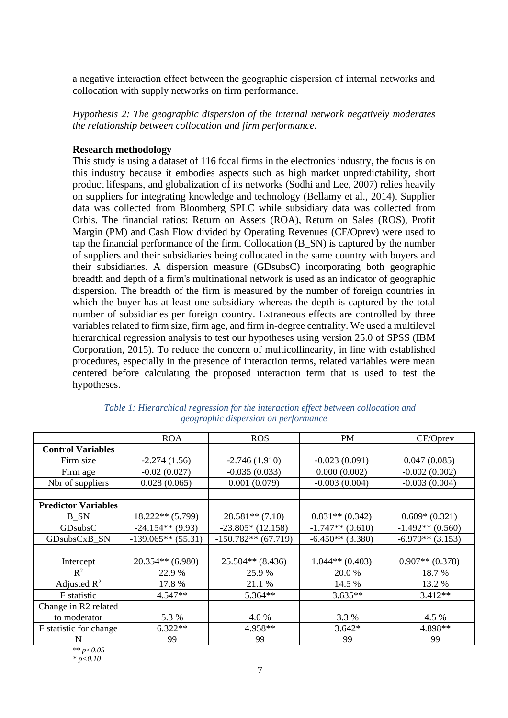a negative interaction effect between the geographic dispersion of internal networks and collocation with supply networks on firm performance.

*Hypothesis 2: The geographic dispersion of the internal network negatively moderates the relationship between collocation and firm performance.*

### **Research methodology**

This study is using a dataset of 116 focal firms in the electronics industry, the focus is on this industry because it embodies aspects such as high market unpredictability, short product lifespans, and globalization of its networks (Sodhi and Lee, 2007) relies heavily on suppliers for integrating knowledge and technology (Bellamy et al., 2014). Supplier data was collected from Bloomberg SPLC while subsidiary data was collected from Orbis. The financial ratios: Return on Assets (ROA), Return on Sales (ROS), Profit Margin (PM) and Cash Flow divided by Operating Revenues (CF/Oprev) were used to tap the financial performance of the firm. Collocation (B\_SN) is captured by the number of suppliers and their subsidiaries being collocated in the same country with buyers and their subsidiaries. A dispersion measure (GDsubsC) incorporating both geographic breadth and depth of a firm's multinational network is used as an indicator of geographic dispersion. The breadth of the firm is measured by the number of foreign countries in which the buyer has at least one subsidiary whereas the depth is captured by the total number of subsidiaries per foreign country. Extraneous effects are controlled by three variables related to firm size, firm age, and firm in-degree centrality. We used a multilevel hierarchical regression analysis to test our hypotheses using version 25.0 of SPSS (IBM Corporation, 2015). To reduce the concern of multicollinearity, in line with established procedures, especially in the presence of interaction terms, related variables were mean centered before calculating the proposed interaction term that is used to test the hypotheses.

|                            | <b>ROA</b>           | <b>ROS</b>            | <b>PM</b>           | CF/Oprev            |
|----------------------------|----------------------|-----------------------|---------------------|---------------------|
| <b>Control Variables</b>   |                      |                       |                     |                     |
| Firm size                  | $-2.274(1.56)$       | $-2.746(1.910)$       | $-0.023(0.091)$     | 0.047(0.085)        |
| Firm age                   | $-0.02(0.027)$       | $-0.035(0.033)$       | 0.000(0.002)        | $-0.002(0.002)$     |
| Nbr of suppliers           | 0.028(0.065)         | 0.001(0.079)          | $-0.003(0.004)$     | $-0.003(0.004)$     |
|                            |                      |                       |                     |                     |
| <b>Predictor Variables</b> |                      |                       |                     |                     |
| B SN                       | $18.222**$ (5.799)   | $28.581**$ (7.10)     | $0.831**$ $(0.342)$ | $0.609*(0.321)$     |
| GDsubsC                    | $-24.154**$ (9.93)   | $-23.805*(12.158)$    | $-1.747**$ (0.610)  | $-1.492**$ (0.560)  |
| GDsubsCxB SN               | $-139.065**$ (55.31) | $-150.782**$ (67.719) | $-6.450**$ (3.380)  | $-6.979**$ (3.153)  |
|                            |                      |                       |                     |                     |
| Intercept                  | $20.354**$ (6.980)   | $25.504**$ (8.436)    | $1.044**$ (0.403)   | $0.907**$ $(0.378)$ |
| $\mathbb{R}^2$             | 22.9 %               | 25.9 %                | 20.0 %              | 18.7 %              |
| Adjusted $\mathbb{R}^2$    | 17.8%                | 21.1 %                | 14.5 %              | 13.2 %              |
| F statistic                | $4.547**$            | 5.364**               | $3.635**$           | $3.412**$           |
| Change in R2 related       |                      |                       |                     |                     |
| to moderator               | 5.3 %                | 4.0%                  | 3.3 %               | 4.5 %               |
| F statistic for change     | $6.322**$            | 4.958**               | $3.642*$            | 4.898**             |
| N                          | 99                   | 99                    | 99                  | 99                  |

*Table 1: Hierarchical regression for the interaction effect between collocation and geographic dispersion on performance*

*\*\* p<0.05 \* p<0.10*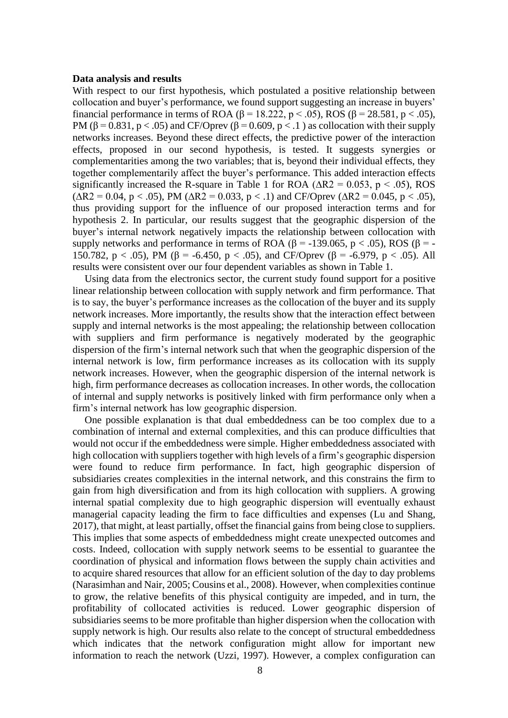#### **Data analysis and results**

With respect to our first hypothesis, which postulated a positive relationship between collocation and buyer's performance, we found support suggesting an increase in buyers' financial performance in terms of ROA ( $\beta$  = 18.222, p < .05), ROS ( $\beta$  = 28.581, p < .05), PM ( $\beta$  = 0.831, p < .05) and CF/Oprev ( $\beta$  = 0.609, p < .1) as collocation with their supply networks increases. Beyond these direct effects, the predictive power of the interaction effects, proposed in our second hypothesis, is tested. It suggests synergies or complementarities among the two variables; that is, beyond their individual effects, they together complementarily affect the buyer's performance. This added interaction effects significantly increased the R-square in Table 1 for ROA ( $\Delta R2 = 0.053$ , p < .05), ROS  $(\Delta R2 = 0.04, p < .05)$ , PM ( $\Delta R2 = 0.033, p < .1$ ) and CF/Oprev ( $\Delta R2 = 0.045, p < .05$ ), thus providing support for the influence of our proposed interaction terms and for hypothesis 2. In particular, our results suggest that the geographic dispersion of the buyer's internal network negatively impacts the relationship between collocation with supply networks and performance in terms of ROA ( $\beta$  = -139.065, p < .05), ROS ( $\beta$  = -150.782, p < .05), PM ( $\beta$  = -6.450, p < .05), and CF/Oprev ( $\beta$  = -6.979, p < .05). All results were consistent over our four dependent variables as shown in Table 1.

Using data from the electronics sector, the current study found support for a positive linear relationship between collocation with supply network and firm performance. That is to say, the buyer's performance increases as the collocation of the buyer and its supply network increases. More importantly, the results show that the interaction effect between supply and internal networks is the most appealing; the relationship between collocation with suppliers and firm performance is negatively moderated by the geographic dispersion of the firm's internal network such that when the geographic dispersion of the internal network is low, firm performance increases as its collocation with its supply network increases. However, when the geographic dispersion of the internal network is high, firm performance decreases as collocation increases. In other words, the collocation of internal and supply networks is positively linked with firm performance only when a firm's internal network has low geographic dispersion.

One possible explanation is that dual embeddedness can be too complex due to a combination of internal and external complexities, and this can produce difficulties that would not occur if the embeddedness were simple. Higher embeddedness associated with high collocation with suppliers together with high levels of a firm's geographic dispersion were found to reduce firm performance. In fact, high geographic dispersion of subsidiaries creates complexities in the internal network, and this constrains the firm to gain from high diversification and from its high collocation with suppliers. A growing internal spatial complexity due to high geographic dispersion will eventually exhaust managerial capacity leading the firm to face difficulties and expenses (Lu and Shang, 2017), that might, at least partially, offset the financial gains from being close to suppliers. This implies that some aspects of embeddedness might create unexpected outcomes and costs. Indeed, collocation with supply network seems to be essential to guarantee the coordination of physical and information flows between the supply chain activities and to acquire shared resources that allow for an efficient solution of the day to day problems (Narasimhan and Nair, 2005; Cousins et al., 2008). However, when complexities continue to grow, the relative benefits of this physical contiguity are impeded, and in turn, the profitability of collocated activities is reduced. Lower geographic dispersion of subsidiaries seems to be more profitable than higher dispersion when the collocation with supply network is high. Our results also relate to the concept of structural embeddedness which indicates that the network configuration might allow for important new information to reach the network (Uzzi, 1997). However, a complex configuration can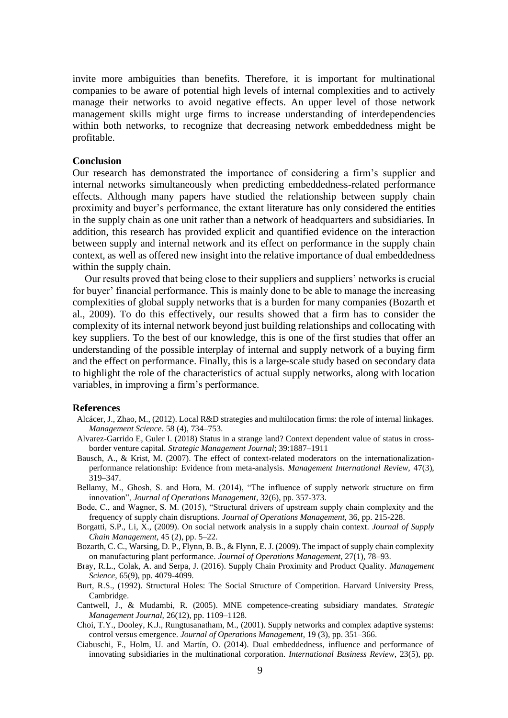invite more ambiguities than benefits. Therefore, it is important for multinational companies to be aware of potential high levels of internal complexities and to actively manage their networks to avoid negative effects. An upper level of those network management skills might urge firms to increase understanding of interdependencies within both networks, to recognize that decreasing network embeddedness might be profitable.

#### **Conclusion**

Our research has demonstrated the importance of considering a firm's supplier and internal networks simultaneously when predicting embeddedness-related performance effects. Although many papers have studied the relationship between supply chain proximity and buyer's performance, the extant literature has only considered the entities in the supply chain as one unit rather than a network of headquarters and subsidiaries. In addition, this research has provided explicit and quantified evidence on the interaction between supply and internal network and its effect on performance in the supply chain context, as well as offered new insight into the relative importance of dual embeddedness within the supply chain.

Our results proved that being close to their suppliers and suppliers' networks is crucial for buyer' financial performance. This is mainly done to be able to manage the increasing complexities of global supply networks that is a burden for many companies (Bozarth et al., 2009). To do this effectively, our results showed that a firm has to consider the complexity of its internal network beyond just building relationships and collocating with key suppliers. To the best of our knowledge, this is one of the first studies that offer an understanding of the possible interplay of internal and supply network of a buying firm and the effect on performance. Finally, this is a large-scale study based on secondary data to highlight the role of the characteristics of actual supply networks, along with location variables, in improving a firm's performance.

#### **References**

- Alcácer, J., Zhao, M., (2012). Local R&D strategies and multilocation firms: the role of internal linkages. *Management Science.* 58 (4), 734–753.
- Alvarez-Garrido E, Guler I. (2018) Status in a strange land? Context dependent value of status in crossborder venture capital. *Strategic Management Journal*; 39:1887–1911
- Bausch, A., & Krist, M. (2007). The effect of context-related moderators on the internationalizationperformance relationship: Evidence from meta-analysis. *Management International Review,* 47(3), 319–347.
- Bellamy, M., Ghosh, S. and Hora, M. (2014), "The influence of supply network structure on firm innovation", *Journal of Operations Management*, 32(6), pp. 357-373.
- Bode, C., and Wagner, S. M. (2015), "Structural drivers of upstream supply chain complexity and the frequency of supply chain disruptions. *Journal of Operations Management*, 36, pp. 215-228.
- Borgatti, S.P., Li, X., (2009). On social network analysis in a supply chain context. *Journal of Supply Chain Management*, 45 (2), pp. 5–22.
- Bozarth, C. C., Warsing, D. P., Flynn, B. B., & Flynn, E. J. (2009). The impact of supply chain complexity on manufacturing plant performance. *Journal of Operations Management,* 27(1), 78–93.
- Bray, R.L., Colak, A. and Serpa, J. (2016). Supply Chain Proximity and Product Quality. *Management Science*, 65(9), pp. 4079-4099.
- Burt, R.S., (1992). Structural Holes: The Social Structure of Competition. Harvard University Press, Cambridge.
- Cantwell, J., & Mudambi, R. (2005). MNE competence-creating subsidiary mandates. *Strategic Management Journal,* 26(12), pp. 1109–1128.
- Choi, T.Y., Dooley, K.J., Rungtusanatham, M., (2001). Supply networks and complex adaptive systems: control versus emergence. *Journal of Operations Management*, 19 (3), pp. 351–366.
- Ciabuschi, F., Holm, U. and Martín, O. (2014). Dual embeddedness, influence and performance of innovating subsidiaries in the multinational corporation. *International Business Review*, 23(5), pp.